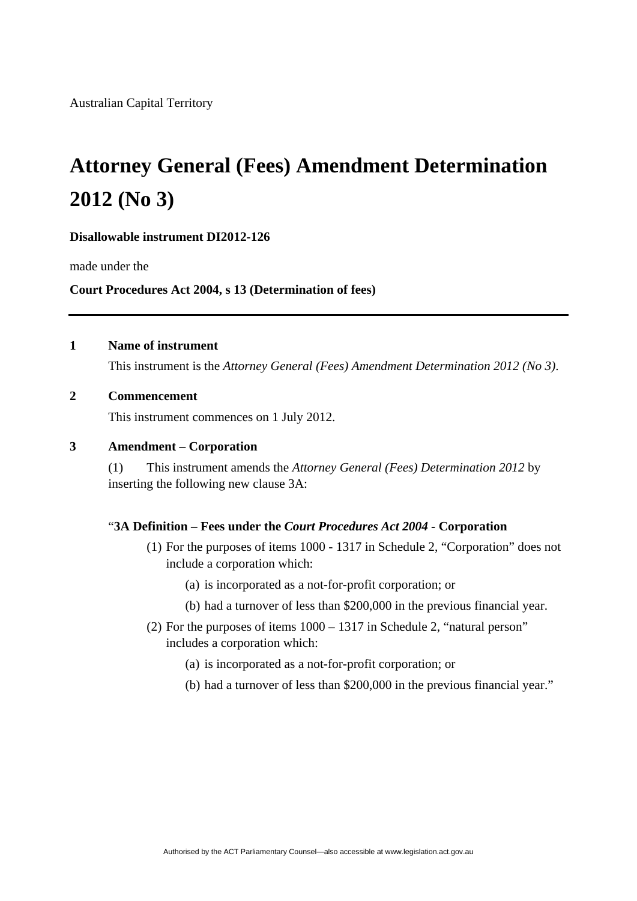Australian Capital Territory

# **Attorney General (Fees) Amendment Determination 2012 (No 3)**

#### **Disallowable instrument DI2012-126**

made under the

## **Court Procedures Act 2004, s 13 (Determination of fees)**

## **1 Name of instrument**

This instrument is the *Attorney General (Fees) Amendment Determination 2012 (No 3)*.

## **2 Commencement**

This instrument commences on 1 July 2012.

### **3 Amendment – Corporation**

(1) This instrument amends the *Attorney General (Fees) Determination 2012* by inserting the following new clause 3A:

#### "**3A Definition – Fees under the** *Court Procedures Act 2004 -* **Corporation**

- (1) For the purposes of items 1000 1317 in Schedule 2, "Corporation" does not include a corporation which:
	- (a) is incorporated as a not-for-profit corporation; or
	- (b) had a turnover of less than \$200,000 in the previous financial year.
- (2) For the purposes of items 1000 1317 in Schedule 2, "natural person" includes a corporation which:
	- (a) is incorporated as a not-for-profit corporation; or
	- (b) had a turnover of less than \$200,000 in the previous financial year."